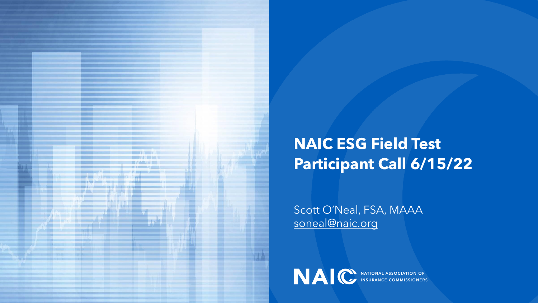

#### **NAIC ESG Field Test Participant Call 6/15/22**

Scott O'Neal, FSA, MAAA [soneal@naic.org](mailto:soneal@naic.org)

NAIC INSURANCE COMMISSIONERS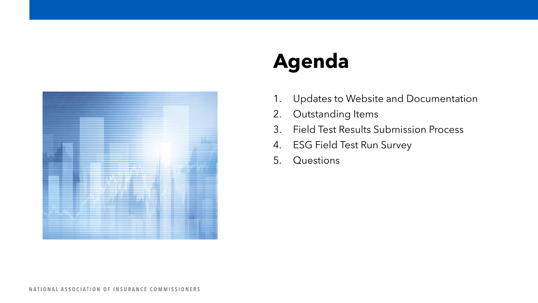

# **Agenda**

- 1. Updates to Website and Documentation
- 2. Outstanding Items
- 3. Field Test Results Submission Process
- 4. ESG Field Test Run Survey
- 5. Questions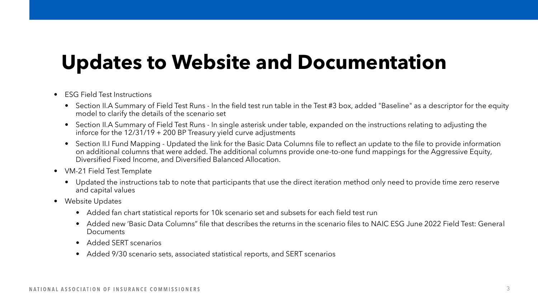## **Updates to Website and Documentation**

#### • ESG Field Test Instructions

- Section II.A Summary of Field Test Runs In the field test run table in the Test #3 box, added "Baseline" as a descriptor for the equity model to clarify the details of the scenario set
- Section II.A Summary of Field Test Runs In single asterisk under table, expanded on the instructions relating to adjusting the inforce for the  $12/31/19 + 200$  BP Treasury yield curve adjustments
- Section II.I Fund Mapping Updated the link for the Basic Data Columns file to reflect an update to the file to provide information on additional columns that were added. The additional columns provide one-to-one fund mappings for the Aggressive Equity, Diversified Fixed Income, and Diversified Balanced Allocation.
- VM-21 Field Test Template
	- Updated the instructions tab to note that participants that use the direct iteration method only need to provide time zero reserve and capital values
- Website Updates
	- Added fan chart statistical reports for 10k scenario set and subsets for each field test run
	- Added new 'Basic Data Columns" file that describes the returns in the scenario files to NAIC ESG June 2022 Field Test: General Documents
	- Added SERT scenarios
	- Added 9/30 scenario sets, associated statistical reports, and SERT scenarios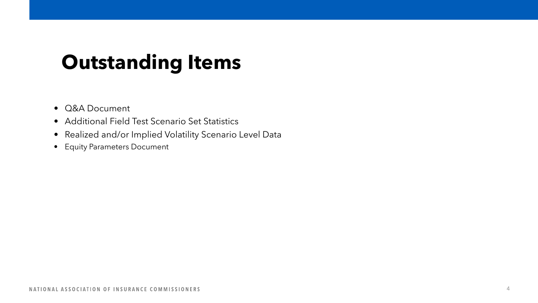## **Outstanding Items**

- Q&A Document
- Additional Field Test Scenario Set Statistics
- Realized and/or Implied Volatility Scenario Level Data
- Equity Parameters Document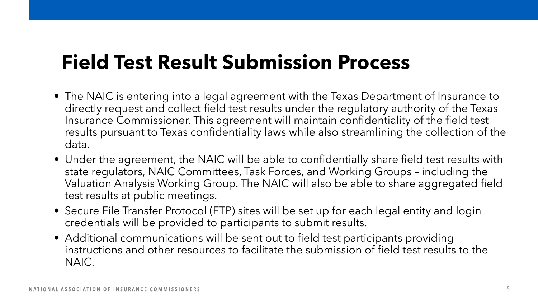## **Field Test Result Submission Process**

- The NAIC is entering into a legal agreement with the Texas Department of Insurance to directly request and collect field test results under the regulatory authority of the Texas Insurance Commissioner. This agreement will maintain confidentiality of the field test results pursuant to Texas confidentiality laws while also streamlining the collection of the data.
- Under the agreement, the NAIC will be able to confidentially share field test results with state regulators, NAIC Committees, Task Forces, and Working Groups – including the Valuation Analysis Working Group. The NAIC will also be able to share aggregated field test results at public meetings.
- Secure File Transfer Protocol (FTP) sites will be set up for each legal entity and login credentials will be provided to participants to submit results.
- Additional communications will be sent out to field test participants providing instructions and other resources to facilitate the submission of field test results to the NAIC.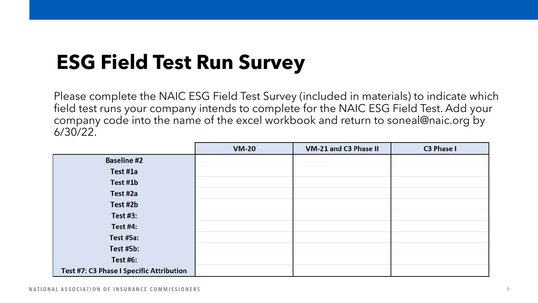## **ESG Field Test Run Survey**

Please complete the NAIC ESG Field Test Survey (included in materials) to indicate which field test runs your company intends to complete for the NAIC ESG Field Test. Add your company code into the name of the excel workbook and return to soneal@naic.org by 6/30/22.

|                                          | <b>VM-20</b> | VM-21 and C3 Phase II | C3 Phase I |
|------------------------------------------|--------------|-----------------------|------------|
| <b>Baseline #2</b>                       |              |                       |            |
| Test #1a                                 |              |                       |            |
| Test #1b                                 |              |                       |            |
| Test #2a                                 |              |                       |            |
| Test #2b                                 |              |                       |            |
| Test $#3:$                               |              |                       |            |
| <b>Test #4:</b>                          |              |                       |            |
| Test #5a:                                |              |                       |            |
| Test #5b:                                |              |                       |            |
| <b>Test #6:</b>                          |              |                       |            |
| Test #7: C3 Phase I Specific Attribution |              |                       |            |